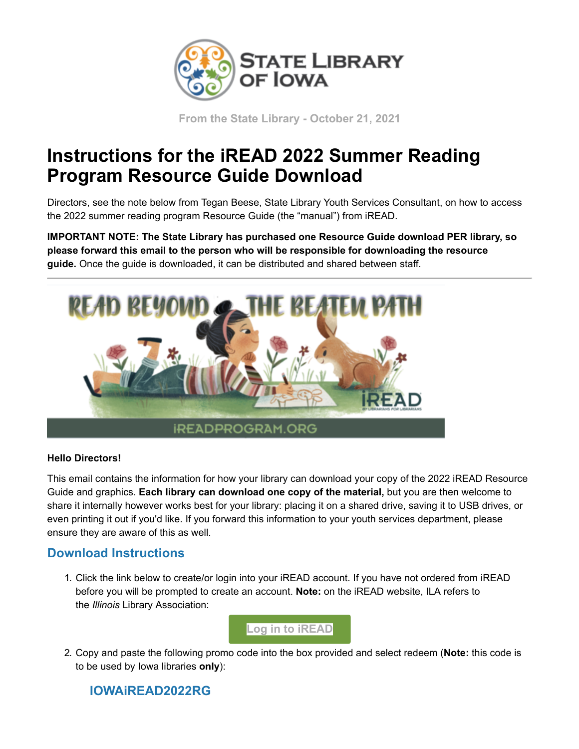

**From the State Library - October 21, 2021**

## **Instructions for the iREAD 2022 Summer Reading Program Resource Guide Download**

Directors, see the note below from Tegan Beese, State Library Youth Services Consultant, on how to access the 2022 summer reading program Resource Guide (the "manual") from iREAD.

**IMPORTANT NOTE: The State Library has purchased one Resource Guide download PER library, so please forward this email to the person who will be responsible for downloading the resource guide.** Once the guide is downloaded, it can be distributed and shared between staff.



## **Hello Directors!**

This email contains the information for how your library can download your copy of the 2022 iREAD Resource Guide and graphics. **Each library can download one copy of the material,** but you are then welcome to share it internally however works best for your library: placing it on a shared drive, saving it to USB drives, or even printing it out if you'd like. If you forward this information to your youth services department, please ensure they are aware of this as well.

## **Download Instructions**

1. Click the link below to create/or login into your iREAD account. If you have not ordered from iREAD before you will be prompted to create an account. **Note:** on the iREAD website, ILA refers to the *Illinois* Library Association:



2. Copy and paste the following promo code into the box provided and select redeem (**Note:** this code is to be used by Iowa libraries **only**):

## **IOWAiREAD2022RG**